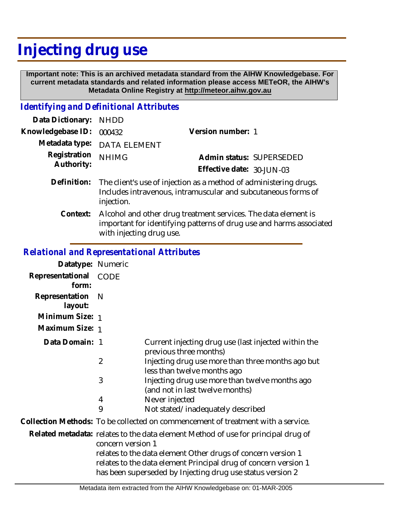# **Injecting drug use**

 **Important note: This is an archived metadata standard from the AIHW Knowledgebase. For current metadata standards and related information please access METeOR, the AIHW's Metadata Online Registry at http://meteor.aihw.gov.au**

## *Identifying and Definitional Attributes*

| Data Dictionary:           | <b>NHDD</b>                                                                                                                                                       |                           |  |
|----------------------------|-------------------------------------------------------------------------------------------------------------------------------------------------------------------|---------------------------|--|
| Knowledgebase ID:          | 000432                                                                                                                                                            | Version number: 1         |  |
| Metadata type:             | <b>DATA ELEMENT</b>                                                                                                                                               |                           |  |
| Registration<br>Authority: | <b>NHIMG</b>                                                                                                                                                      | Admin status: SUPERSEDED  |  |
|                            |                                                                                                                                                                   | Effective date: 30-JUN-03 |  |
| Definition:                | The client's use of injection as a method of administering drugs.<br>Includes intravenous, intramuscular and subcutaneous forms of<br>injection.                  |                           |  |
| Context:                   | Alcohol and other drug treatment services. The data element is<br>important for identifying patterns of drug use and harms associated<br>with injecting drug use. |                           |  |

# *Relational and Representational Attributes*

| Datatype: Numeric                                                                                                                                                                                                                                                                                       |                                                                                   |
|---------------------------------------------------------------------------------------------------------------------------------------------------------------------------------------------------------------------------------------------------------------------------------------------------------|-----------------------------------------------------------------------------------|
| <b>CODE</b>                                                                                                                                                                                                                                                                                             |                                                                                   |
| N                                                                                                                                                                                                                                                                                                       |                                                                                   |
| Minimum Size: 1                                                                                                                                                                                                                                                                                         |                                                                                   |
| Maximum Size: 1                                                                                                                                                                                                                                                                                         |                                                                                   |
| Data Domain: 1                                                                                                                                                                                                                                                                                          | Current injecting drug use (last injected within the<br>previous three months)    |
| 2                                                                                                                                                                                                                                                                                                       | Injecting drug use more than three months ago but<br>less than twelve months ago  |
| 3                                                                                                                                                                                                                                                                                                       | Injecting drug use more than twelve months ago<br>(and not in last twelve months) |
| 4                                                                                                                                                                                                                                                                                                       | Never injected                                                                    |
|                                                                                                                                                                                                                                                                                                         | Not stated/inadequately described                                                 |
| Collection Methods: To be collected on commencement of treatment with a service.                                                                                                                                                                                                                        |                                                                                   |
| Related metadata: relates to the data element Method of use for principal drug of<br>concern version 1<br>relates to the data element Other drugs of concern version 1<br>relates to the data element Principal drug of concern version 1<br>has been superseded by Injecting drug use status version 2 |                                                                                   |
|                                                                                                                                                                                                                                                                                                         | 9                                                                                 |